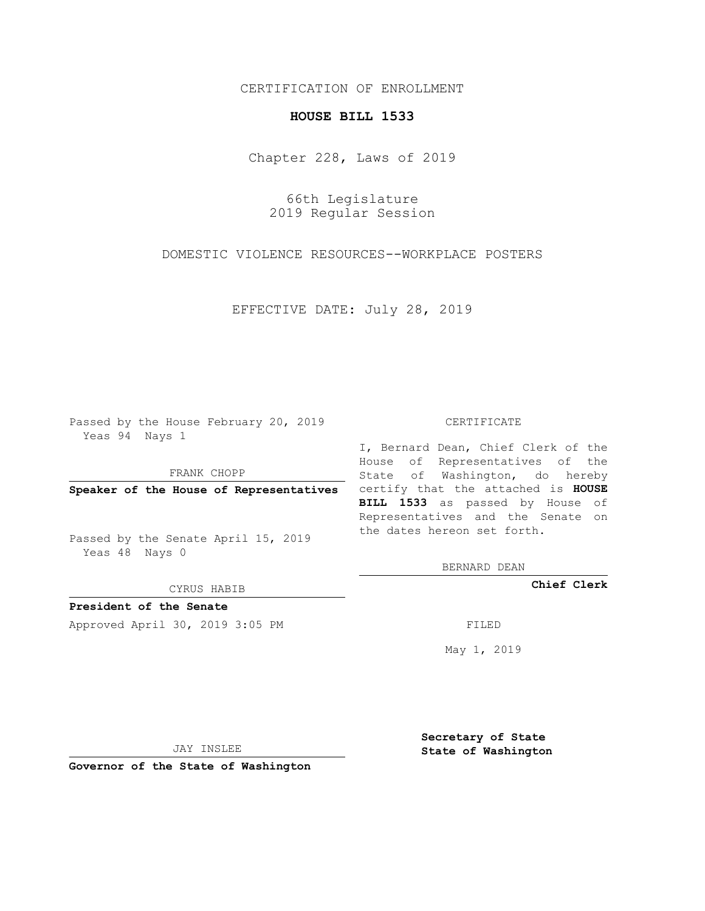## CERTIFICATION OF ENROLLMENT

## **HOUSE BILL 1533**

Chapter 228, Laws of 2019

66th Legislature 2019 Regular Session

DOMESTIC VIOLENCE RESOURCES--WORKPLACE POSTERS

EFFECTIVE DATE: July 28, 2019

Passed by the House February 20, 2019 Yeas 94 Nays 1

FRANK CHOPP

Passed by the Senate April 15, 2019 Yeas 48 Nays 0

CYRUS HABIB

**President of the Senate**

Approved April 30, 2019 3:05 PM FILED

#### CERTIFICATE

**Speaker of the House of Representatives** certify that the attached is **HOUSE** I, Bernard Dean, Chief Clerk of the House of Representatives of the State of Washington, do hereby **BILL 1533** as passed by House of Representatives and the Senate on the dates hereon set forth.

BERNARD DEAN

**Chief Clerk**

May 1, 2019

JAY INSLEE

**Governor of the State of Washington**

**Secretary of State State of Washington**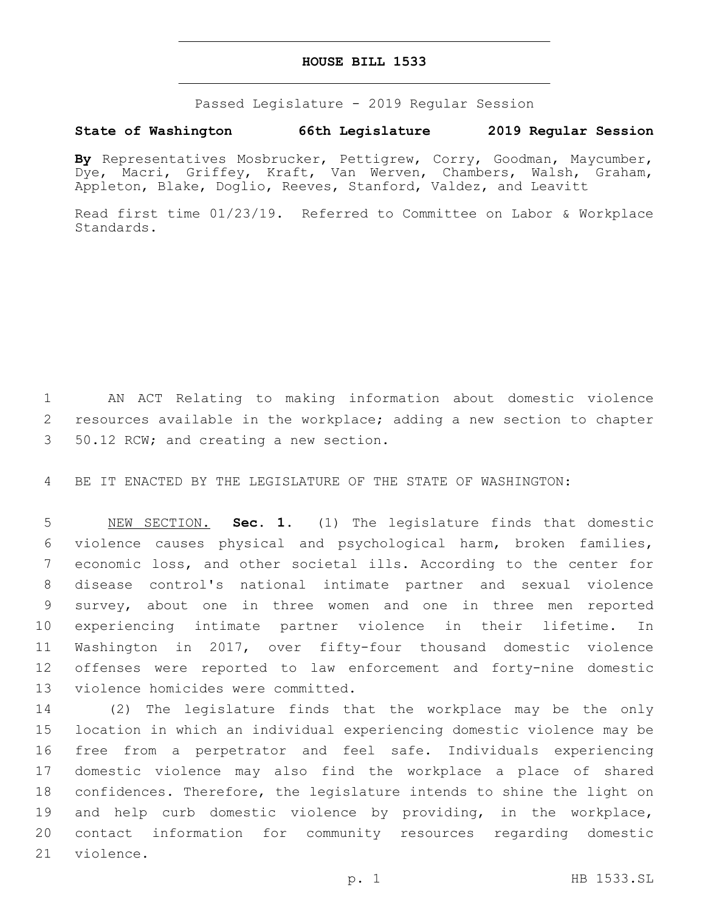### **HOUSE BILL 1533**

Passed Legislature - 2019 Regular Session

# **State of Washington 66th Legislature 2019 Regular Session**

**By** Representatives Mosbrucker, Pettigrew, Corry, Goodman, Maycumber, Dye, Macri, Griffey, Kraft, Van Werven, Chambers, Walsh, Graham, Appleton, Blake, Doglio, Reeves, Stanford, Valdez, and Leavitt

Read first time 01/23/19. Referred to Committee on Labor & Workplace Standards.

 AN ACT Relating to making information about domestic violence resources available in the workplace; adding a new section to chapter 50.12 RCW; and creating a new section.3

BE IT ENACTED BY THE LEGISLATURE OF THE STATE OF WASHINGTON:

 NEW SECTION. **Sec. 1.** (1) The legislature finds that domestic violence causes physical and psychological harm, broken families, economic loss, and other societal ills. According to the center for disease control's national intimate partner and sexual violence survey, about one in three women and one in three men reported experiencing intimate partner violence in their lifetime. In Washington in 2017, over fifty-four thousand domestic violence offenses were reported to law enforcement and forty-nine domestic violence homicides were committed.

 (2) The legislature finds that the workplace may be the only location in which an individual experiencing domestic violence may be free from a perpetrator and feel safe. Individuals experiencing domestic violence may also find the workplace a place of shared confidences. Therefore, the legislature intends to shine the light on and help curb domestic violence by providing, in the workplace, contact information for community resources regarding domestic 21 violence.